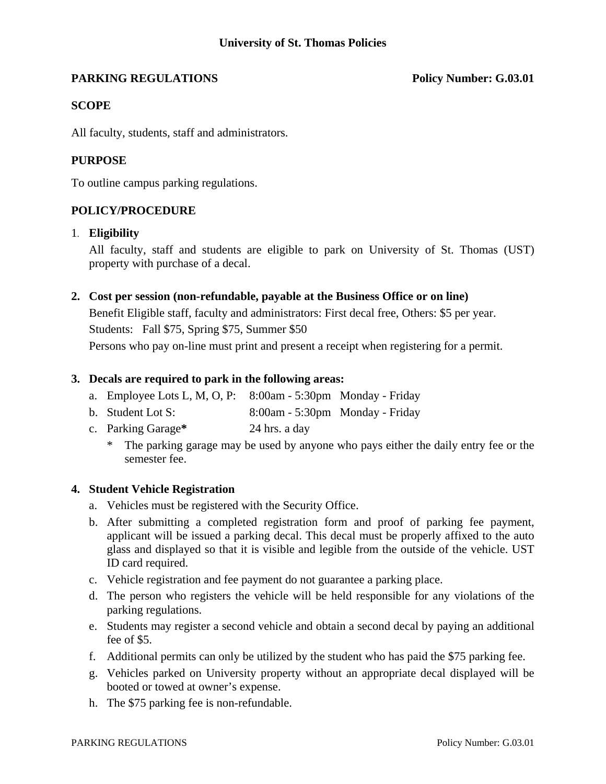## **PARKING REGULATIONS** Policy Number: G.03.01

### **SCOPE**

All faculty, students, staff and administrators.

#### **PURPOSE**

To outline campus parking regulations.

#### **POLICY/PROCEDURE**

#### 1. **Eligibility**

 All faculty, staff and students are eligible to park on University of St. Thomas (UST) property with purchase of a decal.

#### **2. Cost per session (non-refundable, payable at the Business Office or on line)**

 Benefit Eligible staff, faculty and administrators: First decal free, Others: \$5 per year. Students: Fall \$75, Spring \$75, Summer \$50 Persons who pay on-line must print and present a receipt when registering for a permit.

#### **3. Decals are required to park in the following areas:**

- a. Employee Lots L, M, O, P: 8:00am 5:30pm Monday Friday
- b. Student Lot S: 8:00am 5:30pm Monday Friday
- c. Parking Garage**\*** 24 hrs. a day
	- \* The parking garage may be used by anyone who pays either the daily entry fee or the semester fee.

#### **4. Student Vehicle Registration**

- a. Vehicles must be registered with the Security Office.
- b. After submitting a completed registration form and proof of parking fee payment, applicant will be issued a parking decal. This decal must be properly affixed to the auto glass and displayed so that it is visible and legible from the outside of the vehicle. UST ID card required.
- c. Vehicle registration and fee payment do not guarantee a parking place.
- d. The person who registers the vehicle will be held responsible for any violations of the parking regulations.
- e. Students may register a second vehicle and obtain a second decal by paying an additional fee of \$5.
- f. Additional permits can only be utilized by the student who has paid the \$75 parking fee.
- g. Vehicles parked on University property without an appropriate decal displayed will be booted or towed at owner's expense.
- h. The \$75 parking fee is non-refundable.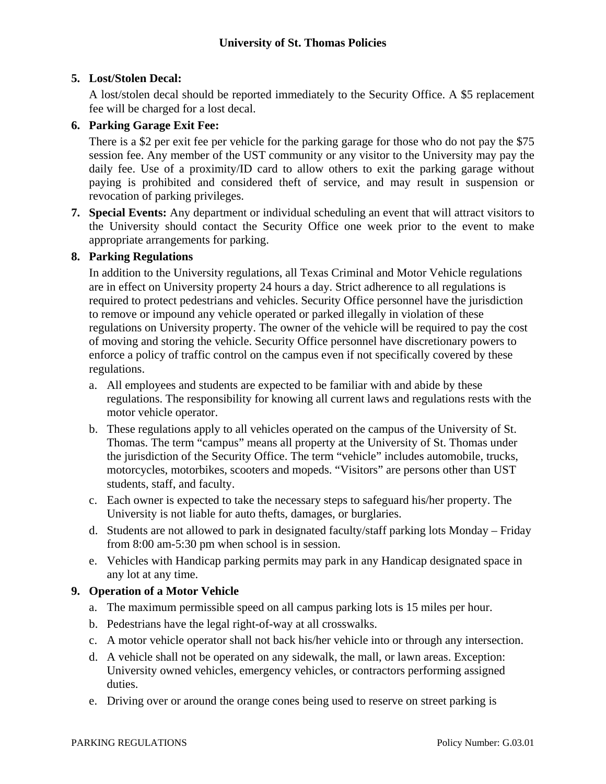# **5. Lost/Stolen Decal:**

A lost/stolen decal should be reported immediately to the Security Office. A \$5 replacement fee will be charged for a lost decal.

# **6. Parking Garage Exit Fee:**

There is a \$2 per exit fee per vehicle for the parking garage for those who do not pay the \$75 session fee. Any member of the UST community or any visitor to the University may pay the daily fee. Use of a proximity/ID card to allow others to exit the parking garage without paying is prohibited and considered theft of service, and may result in suspension or revocation of parking privileges.

**7. Special Events:** Any department or individual scheduling an event that will attract visitors to the University should contact the Security Office one week prior to the event to make appropriate arrangements for parking.

# **8. Parking Regulations**

 In addition to the University regulations, all Texas Criminal and Motor Vehicle regulations are in effect on University property 24 hours a day. Strict adherence to all regulations is required to protect pedestrians and vehicles. Security Office personnel have the jurisdiction to remove or impound any vehicle operated or parked illegally in violation of these regulations on University property. The owner of the vehicle will be required to pay the cost of moving and storing the vehicle. Security Office personnel have discretionary powers to enforce a policy of traffic control on the campus even if not specifically covered by these regulations.

- a. All employees and students are expected to be familiar with and abide by these regulations. The responsibility for knowing all current laws and regulations rests with the motor vehicle operator.
- b. These regulations apply to all vehicles operated on the campus of the University of St. Thomas. The term "campus" means all property at the University of St. Thomas under the jurisdiction of the Security Office. The term "vehicle" includes automobile, trucks, motorcycles, motorbikes, scooters and mopeds. "Visitors" are persons other than UST students, staff, and faculty.
- c. Each owner is expected to take the necessary steps to safeguard his/her property. The University is not liable for auto thefts, damages, or burglaries.
- d. Students are not allowed to park in designated faculty/staff parking lots Monday Friday from 8:00 am-5:30 pm when school is in session.
- e. Vehicles with Handicap parking permits may park in any Handicap designated space in any lot at any time.

# **9. Operation of a Motor Vehicle**

- a. The maximum permissible speed on all campus parking lots is 15 miles per hour.
- b. Pedestrians have the legal right-of-way at all crosswalks.
- c. A motor vehicle operator shall not back his/her vehicle into or through any intersection.
- d. A vehicle shall not be operated on any sidewalk, the mall, or lawn areas. Exception: University owned vehicles, emergency vehicles, or contractors performing assigned duties.
- e. Driving over or around the orange cones being used to reserve on street parking is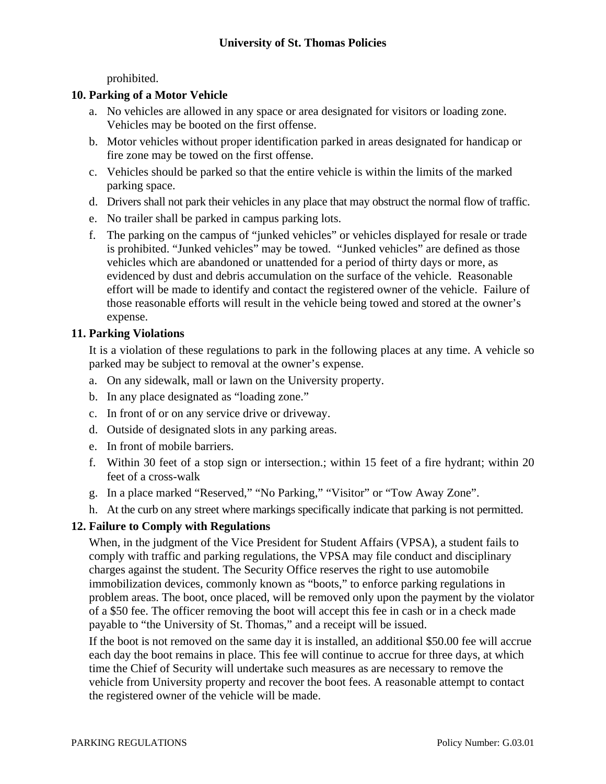prohibited.

# **10. Parking of a Motor Vehicle**

- a. No vehicles are allowed in any space or area designated for visitors or loading zone. Vehicles may be booted on the first offense.
- b. Motor vehicles without proper identification parked in areas designated for handicap or fire zone may be towed on the first offense.
- c. Vehicles should be parked so that the entire vehicle is within the limits of the marked parking space.
- d. Drivers shall not park their vehicles in any place that may obstruct the normal flow of traffic.
- e. No trailer shall be parked in campus parking lots.
- f. The parking on the campus of "junked vehicles" or vehicles displayed for resale or trade is prohibited. "Junked vehicles" may be towed. "Junked vehicles" are defined as those vehicles which are abandoned or unattended for a period of thirty days or more, as evidenced by dust and debris accumulation on the surface of the vehicle. Reasonable effort will be made to identify and contact the registered owner of the vehicle. Failure of those reasonable efforts will result in the vehicle being towed and stored at the owner's expense.

# **11. Parking Violations**

It is a violation of these regulations to park in the following places at any time. A vehicle so parked may be subject to removal at the owner's expense.

- a. On any sidewalk, mall or lawn on the University property.
- b. In any place designated as "loading zone."
- c. In front of or on any service drive or driveway.
- d. Outside of designated slots in any parking areas.
- e. In front of mobile barriers.
- f. Within 30 feet of a stop sign or intersection.; within 15 feet of a fire hydrant; within 20 feet of a cross-walk
- g. In a place marked "Reserved," "No Parking," "Visitor" or "Tow Away Zone".
- h. At the curb on any street where markings specifically indicate that parking is not permitted.

# **12. Failure to Comply with Regulations**

When, in the judgment of the Vice President for Student Affairs (VPSA), a student fails to comply with traffic and parking regulations, the VPSA may file conduct and disciplinary charges against the student. The Security Office reserves the right to use automobile immobilization devices, commonly known as "boots," to enforce parking regulations in problem areas. The boot, once placed, will be removed only upon the payment by the violator of a \$50 fee. The officer removing the boot will accept this fee in cash or in a check made payable to "the University of St. Thomas," and a receipt will be issued.

If the boot is not removed on the same day it is installed, an additional \$50.00 fee will accrue each day the boot remains in place. This fee will continue to accrue for three days, at which time the Chief of Security will undertake such measures as are necessary to remove the vehicle from University property and recover the boot fees. A reasonable attempt to contact the registered owner of the vehicle will be made.